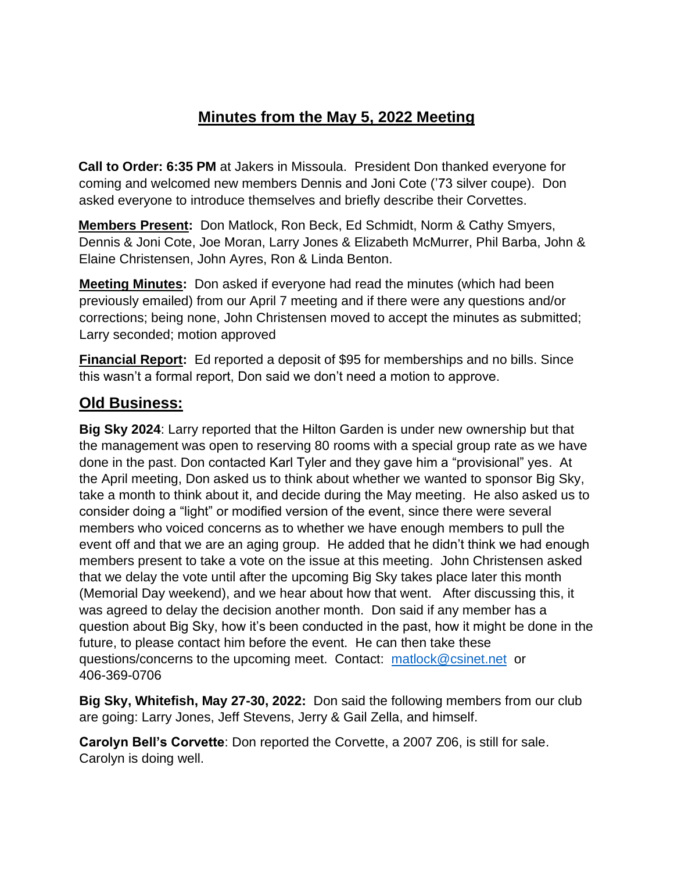## **Minutes from the May 5, 2022 Meeting**

**Call to Order: 6:35 PM** at Jakers in Missoula. President Don thanked everyone for coming and welcomed new members Dennis and Joni Cote ('73 silver coupe). Don asked everyone to introduce themselves and briefly describe their Corvettes.

**Members Present:** Don Matlock, Ron Beck, Ed Schmidt, Norm & Cathy Smyers, Dennis & Joni Cote, Joe Moran, Larry Jones & Elizabeth McMurrer, Phil Barba, John & Elaine Christensen, John Ayres, Ron & Linda Benton.

**Meeting Minutes:** Don asked if everyone had read the minutes (which had been previously emailed) from our April 7 meeting and if there were any questions and/or corrections; being none, John Christensen moved to accept the minutes as submitted; Larry seconded; motion approved

**Financial Report:** Ed reported a deposit of \$95 for memberships and no bills. Since this wasn't a formal report, Don said we don't need a motion to approve.

## **Old Business:**

**Big Sky 2024**: Larry reported that the Hilton Garden is under new ownership but that the management was open to reserving 80 rooms with a special group rate as we have done in the past. Don contacted Karl Tyler and they gave him a "provisional" yes. At the April meeting, Don asked us to think about whether we wanted to sponsor Big Sky, take a month to think about it, and decide during the May meeting. He also asked us to consider doing a "light" or modified version of the event, since there were several members who voiced concerns as to whether we have enough members to pull the event off and that we are an aging group. He added that he didn't think we had enough members present to take a vote on the issue at this meeting. John Christensen asked that we delay the vote until after the upcoming Big Sky takes place later this month (Memorial Day weekend), and we hear about how that went. After discussing this, it was agreed to delay the decision another month. Don said if any member has a question about Big Sky, how it's been conducted in the past, how it might be done in the future, to please contact him before the event. He can then take these questions/concerns to the upcoming meet. Contact: [matlock@csinet.net](mailto:matlock@csinet.net) or 406-369-0706

**Big Sky, Whitefish, May 27-30, 2022:** Don said the following members from our club are going: Larry Jones, Jeff Stevens, Jerry & Gail Zella, and himself.

**Carolyn Bell's Corvette**: Don reported the Corvette, a 2007 Z06, is still for sale. Carolyn is doing well.